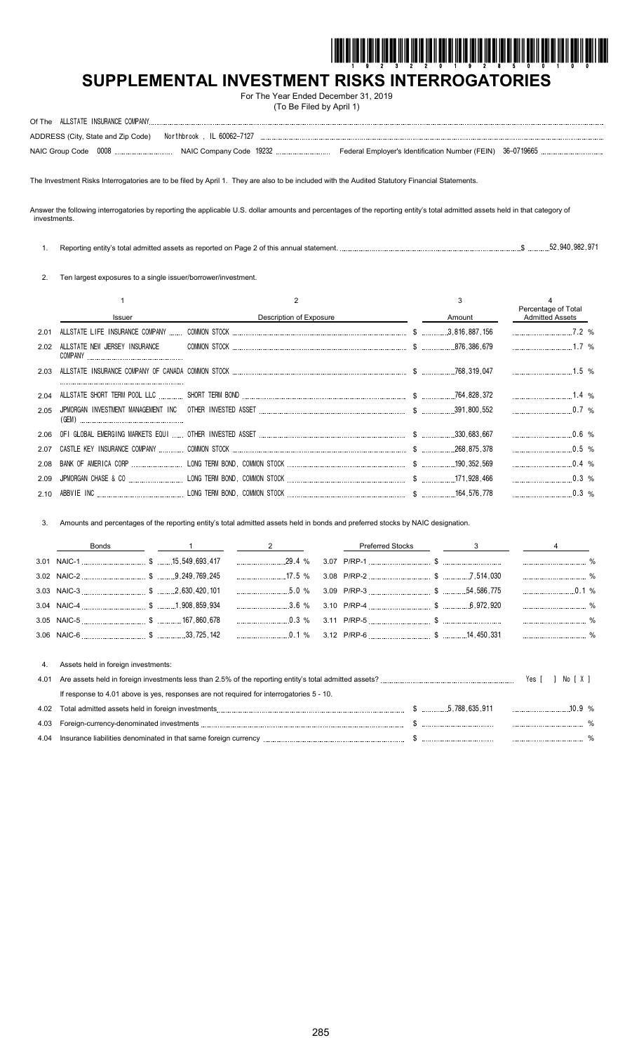

# **SUPPLEMENTAL INVESTMENT RISKS INTERROGATORIES**

For The Year Ended December 31, 2019 (To Be Filed by April 1)

| ADDRESS (City, State and Zip Code)    Northbrook, IL 60062-7127 |  |  |
|-----------------------------------------------------------------|--|--|
|                                                                 |  |  |

The Investment Risks Interrogatories are to be filed by April 1. They are also to be included with the Audited Statutory Financial Statements.

Answer the following interrogatories by reporting the applicable U.S. dollar amounts and percentages of the reporting entity's total admitted assets held in that category of investments.

|  |  | s total admitted assets as reported on Page 2 of this annual statement<br>Reporting<br>. entitv's ב | 52 Q40 Q82 Q71<br>.907 |
|--|--|-----------------------------------------------------------------------------------------------------|------------------------|
|--|--|-----------------------------------------------------------------------------------------------------|------------------------|

2. Ten largest exposures to a single issuer/borrower/investment.

|      | Issuer                        | Description of Exposure | Amount | Percentage of Total<br><b>Admitted Assets</b> |  |
|------|-------------------------------|-------------------------|--------|-----------------------------------------------|--|
| 2.01 |                               |                         |        | 7.2%                                          |  |
| 2.02 | ALLSTATE NEW JERSEY INSURANCE |                         |        | $1.7\%$                                       |  |
|      |                               |                         |        |                                               |  |
| 2.04 |                               |                         |        |                                               |  |
| 2.05 | (GEM)                         |                         |        |                                               |  |
|      |                               |                         |        | $0.6\%$                                       |  |
| 2.07 |                               |                         |        | $0.5\%$                                       |  |
| 2.08 |                               |                         |        | $0.4\%$                                       |  |
| 2.09 |                               |                         |        | $0.3\%$                                       |  |
|      |                               |                         |        |                                               |  |

3. Amounts and percentages of the reporting entity's total admitted assets held in bonds and preferred stocks by NAIC designation.

|      | Bonds                                                                                    |                                                                                      | <b>Preferred Stocks</b> | $3$ — |                  |
|------|------------------------------------------------------------------------------------------|--------------------------------------------------------------------------------------|-------------------------|-------|------------------|
|      |                                                                                          |                                                                                      |                         |       |                  |
|      |                                                                                          |                                                                                      |                         |       |                  |
|      |                                                                                          | ____________________5.0 %  3.09 P/RP-3 ___________________________________54,586,775 |                         |       |                  |
|      |                                                                                          |                                                                                      |                         |       |                  |
|      |                                                                                          | $0.3\%$                                                                              |                         |       |                  |
|      |                                                                                          |                                                                                      |                         |       |                  |
| 4.   | Assets held in foreign investments:                                                      |                                                                                      |                         |       |                  |
| 4.01 |                                                                                          |                                                                                      |                         |       | Yes [ ]<br>NorXI |
|      | If response to 4.01 above is yes, responses are not required for interrogatories 5 - 10. |                                                                                      |                         |       |                  |

| 4.02 |                                                                 | $$$ $5.788.635.911$ | 109% |  |
|------|-----------------------------------------------------------------|---------------------|------|--|
| 4.03 | Foreign-currency-denominated investments                        |                     |      |  |
| 4.04 | Insurance liabilities denominated in that same foreign currency |                     |      |  |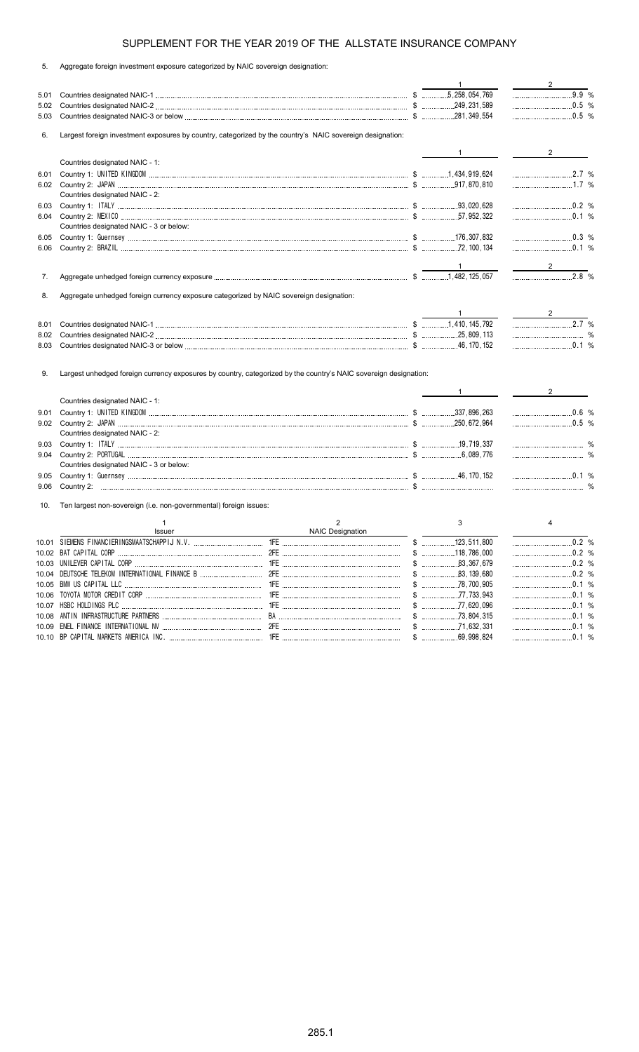| 5. |  |  | Aggregate foreign investment exposure categorized by NAIC sovereign designation: |  |  |
|----|--|--|----------------------------------------------------------------------------------|--|--|
|    |  |  |                                                                                  |  |  |

|              |                                                                                                                  |                  | $\mathbf{1}$   | $\overline{2}$                 |
|--------------|------------------------------------------------------------------------------------------------------------------|------------------|----------------|--------------------------------|
| 5.01         |                                                                                                                  |                  |                | $9.9 %$                        |
| 5.02         |                                                                                                                  |                  |                | $\ldots$ 0.5 %                 |
| 5.03         |                                                                                                                  |                  |                |                                |
| 6.           | Largest foreign investment exposures by country, categorized by the country's NAIC sovereign designation:        |                  |                |                                |
|              |                                                                                                                  |                  |                |                                |
|              | Countries designated NAIC - 1:                                                                                   |                  | $\mathbf{1}$   | $2 \left( \frac{1}{2} \right)$ |
| 6.01         |                                                                                                                  |                  |                | $\ldots$ 2.7 %                 |
|              |                                                                                                                  |                  |                |                                |
|              | Countries designated NAIC - 2:                                                                                   |                  |                |                                |
| 6.03         |                                                                                                                  |                  |                | $\ldots$ 0.2 %                 |
| 6.04         |                                                                                                                  |                  |                |                                |
|              | Countries designated NAIC - 3 or below:                                                                          |                  |                |                                |
| 6.05         |                                                                                                                  |                  |                |                                |
| 6.06         |                                                                                                                  |                  |                | $\ldots$ 0.1 %                 |
|              |                                                                                                                  |                  |                |                                |
|              |                                                                                                                  |                  |                |                                |
| 7.           |                                                                                                                  |                  |                | $2.8\%$                        |
|              |                                                                                                                  |                  |                |                                |
| 8.           | Aggregate unhedged foreign currency exposure categorized by NAIC sovereign designation:                          |                  |                |                                |
|              |                                                                                                                  |                  |                |                                |
|              |                                                                                                                  |                  | $\sim$ 1       | 2.7 %                          |
| 8.01         |                                                                                                                  |                  |                |                                |
| 8.02<br>8.03 |                                                                                                                  |                  |                | $\ldots$ 0.1 %                 |
|              |                                                                                                                  |                  |                |                                |
| 9.           | Largest unhedged foreign currency exposures by country, categorized by the country's NAIC sovereign designation: |                  |                |                                |
|              |                                                                                                                  |                  | $\mathbf{1}$   | $2^{\circ}$                    |
|              | Countries designated NAIC - 1:                                                                                   |                  |                |                                |
| 9.01         |                                                                                                                  |                  |                |                                |
| 9.02         |                                                                                                                  |                  |                |                                |
|              | Countries designated NAIC - 2:                                                                                   |                  |                | $\ldots$ 0.6 %                 |
| 9.03         |                                                                                                                  |                  |                |                                |
|              |                                                                                                                  |                  |                |                                |
| 9.04         |                                                                                                                  |                  |                |                                |
|              | Countries designated NAIC - 3 or below:                                                                          |                  |                |                                |
| 9.05         |                                                                                                                  |                  |                |                                |
| 9.06         |                                                                                                                  |                  |                |                                |
| 10.          | Ten largest non-sovereign (i.e. non-governmental) foreign issues:                                                |                  |                |                                |
|              |                                                                                                                  |                  |                |                                |
|              | $\mathbf{1}$                                                                                                     | $\overline{2}$   | 3              | 4                              |
|              | Issuer                                                                                                           | NAIC Designation |                |                                |
|              |                                                                                                                  |                  |                | 0.2 %                          |
|              |                                                                                                                  |                  |                |                                |
|              |                                                                                                                  |                  |                |                                |
|              |                                                                                                                  |                  | $$$ 83,139,680 | 0.2 %                          |
|              |                                                                                                                  |                  |                |                                |
|              |                                                                                                                  |                  |                |                                |
|              |                                                                                                                  |                  |                |                                |
| 10.08        |                                                                                                                  |                  |                |                                |
|              |                                                                                                                  |                  |                | $0.1$ %                        |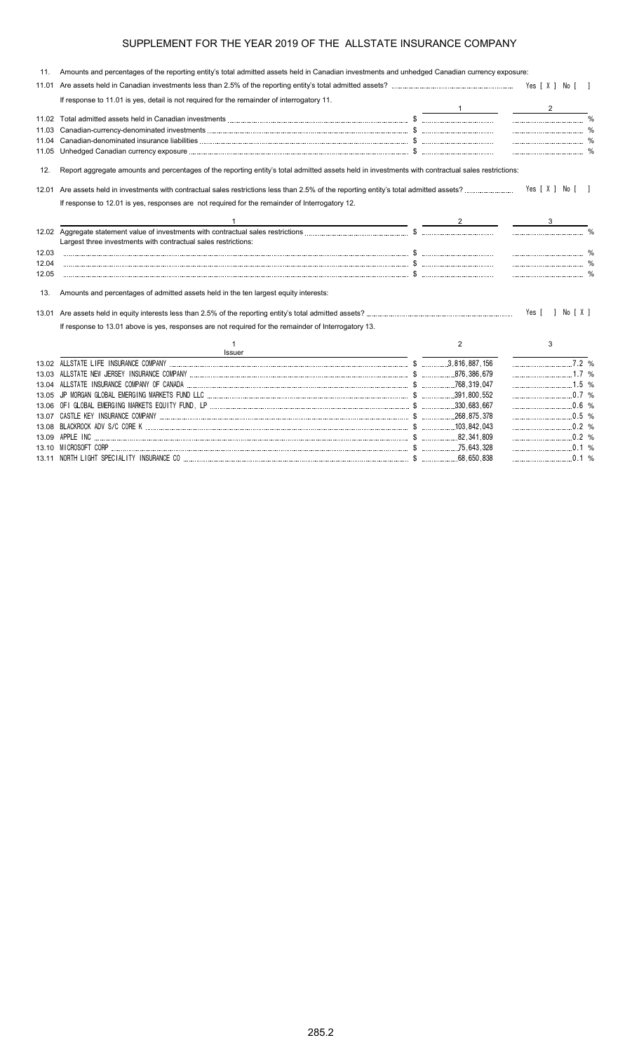| 11.   | Amounts and percentages of the reporting entity's total admitted assets held in Canadian investments and unhedged Canadian currency exposure:                                                                                       |                |                    |
|-------|-------------------------------------------------------------------------------------------------------------------------------------------------------------------------------------------------------------------------------------|----------------|--------------------|
| 11.01 |                                                                                                                                                                                                                                     |                |                    |
|       | If response to 11.01 is yes, detail is not required for the remainder of interrogatory 11.                                                                                                                                          |                |                    |
|       |                                                                                                                                                                                                                                     |                | $2^{\circ}$        |
|       |                                                                                                                                                                                                                                     |                |                    |
| 11.03 |                                                                                                                                                                                                                                     |                |                    |
|       |                                                                                                                                                                                                                                     |                |                    |
|       | 11.05 Unhedged Canadian currency exposure <i>machine and accordination and accordination and accordination</i> space of the second space of the second space of the second space of the second space of the second space of the sec |                |                    |
| 12.   | Report aggregate amounts and percentages of the reporting entity's total admitted assets held in investments with contractual sales restrictions:                                                                                   |                |                    |
|       |                                                                                                                                                                                                                                     |                | Yes [X ] No [ ]    |
|       | If response to 12.01 is yes, responses are not required for the remainder of Interrogatory 12.                                                                                                                                      |                |                    |
|       | the contract of the contract of the contract of the contract of the contract of                                                                                                                                                     |                |                    |
|       |                                                                                                                                                                                                                                     |                |                    |
|       | Largest three investments with contractual sales restrictions:                                                                                                                                                                      |                |                    |
| 12.03 |                                                                                                                                                                                                                                     |                |                    |
| 12.04 |                                                                                                                                                                                                                                     |                |                    |
| 12.05 |                                                                                                                                                                                                                                     |                |                    |
| 13.   | Amounts and percentages of admitted assets held in the ten largest equity interests:                                                                                                                                                |                |                    |
| 13.01 |                                                                                                                                                                                                                                     |                | Yes [ ] No [ X ]   |
|       | If response to 13.01 above is yes, responses are not required for the remainder of Interrogatory 13.                                                                                                                                |                |                    |
|       |                                                                                                                                                                                                                                     | $\overline{2}$ | 3                  |
|       | <b>Issuer</b>                                                                                                                                                                                                                       |                |                    |
|       |                                                                                                                                                                                                                                     |                | $\overline{7.2}$ % |
|       |                                                                                                                                                                                                                                     |                | 1.7 %              |
|       |                                                                                                                                                                                                                                     |                |                    |
|       |                                                                                                                                                                                                                                     |                |                    |
|       |                                                                                                                                                                                                                                     |                |                    |
|       |                                                                                                                                                                                                                                     |                |                    |
|       |                                                                                                                                                                                                                                     |                | $\ldots$ 0.2 %     |
|       |                                                                                                                                                                                                                                     |                |                    |
|       |                                                                                                                                                                                                                                     |                |                    |
|       |                                                                                                                                                                                                                                     |                |                    |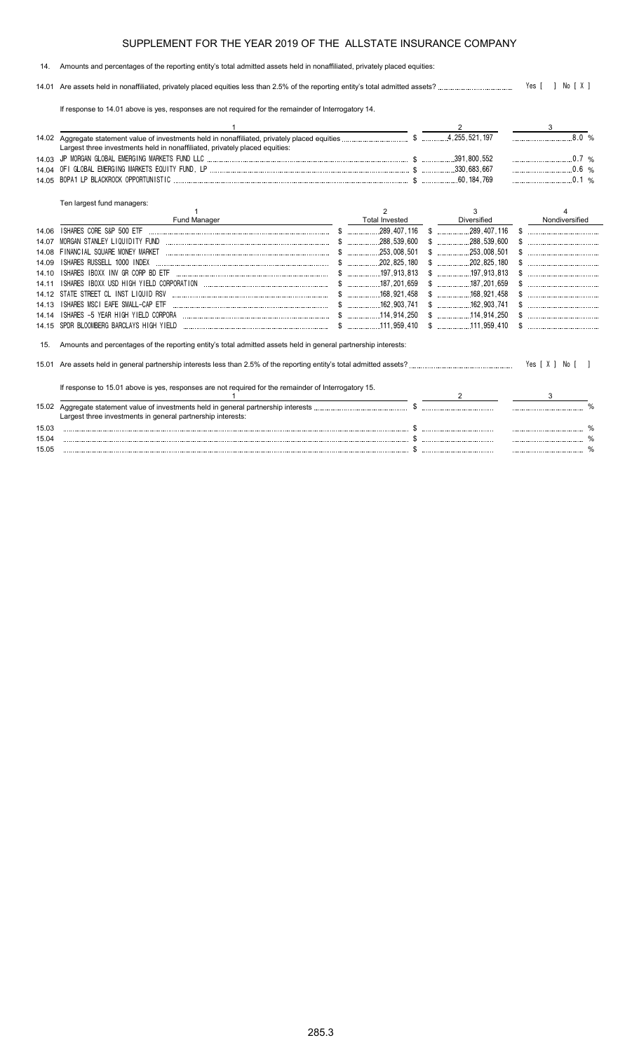#### 14. Amounts and percentages of the reporting entity's total admitted assets held in nonaffiliated, privately placed equities:

14.01 Are assets held in nonaffiliated, privately placed equities less than 2.5% of the reporting entity's total admitted assets? Yes [ ] No [ X ]

If response to 14.01 above is yes, responses are not required for the remainder of Interrogatory 14.

|       |                                                                                                                |                       |             |                | 8.0% |
|-------|----------------------------------------------------------------------------------------------------------------|-----------------------|-------------|----------------|------|
|       | Largest three investments held in nonaffiliated, privately placed equities:                                    |                       |             |                |      |
| 14 03 |                                                                                                                |                       |             | $0.7\%$        |      |
| 14 04 |                                                                                                                |                       |             | $0.6\%$        |      |
| 14.05 |                                                                                                                |                       |             | $\sim$ 0.1 %   |      |
|       | Ten largest fund managers:                                                                                     |                       |             |                |      |
|       |                                                                                                                | $\mathcal{P}$         | 3           |                |      |
|       | Fund Manager                                                                                                   | <b>Total Invested</b> | Diversified | Nondiversified |      |
| 14.06 |                                                                                                                |                       |             |                |      |
| 14 07 |                                                                                                                |                       |             |                |      |
| 14 08 |                                                                                                                |                       |             |                |      |
| 14.09 | ISHARES RUSSELL 1000 INDEX                                                                                     |                       |             |                |      |
| 14.10 |                                                                                                                |                       |             |                |      |
| 14 11 |                                                                                                                |                       |             |                |      |
| 14 12 | STATE STREET CL INST LIQUID RSV                                                                                |                       |             |                |      |
| 14.13 | ISHARES MSCI EAFE SMALL-CAP ETF                                                                                |                       |             |                |      |
| 14.14 |                                                                                                                |                       |             |                |      |
| 14.15 |                                                                                                                |                       |             | $\mathbb{S}$   |      |
| 15.   | Amounts and percentages of the reporting entity's total admitted assets held in general partnership interests: |                       |             |                |      |
| 15.01 |                                                                                                                |                       |             |                |      |
|       | If response to 15.01 above is yes, responses are not required for the remainder of Interrogatory 15.           |                       |             |                |      |
|       |                                                                                                                |                       | 2           |                |      |
|       |                                                                                                                |                       |             |                |      |
|       | Largest three investments in general partnership interests:                                                    |                       |             |                |      |
| 15.03 |                                                                                                                |                       |             |                |      |
| 15.04 |                                                                                                                |                       |             |                |      |
| 15.05 |                                                                                                                |                       |             |                |      |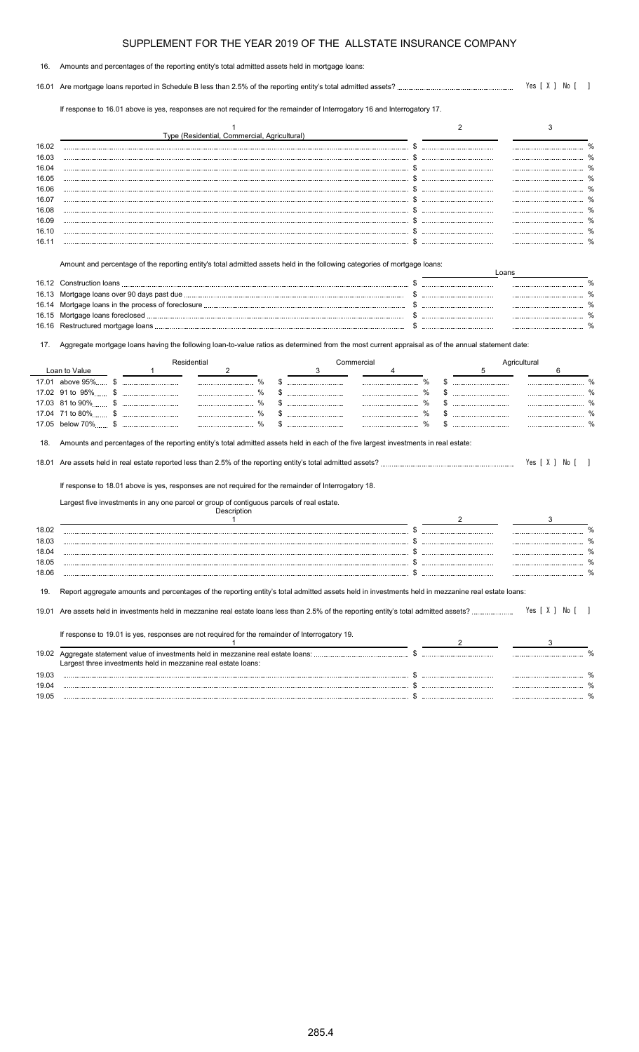| 16. | Amounts and percentages of the reporting entity's total admitted assets held in mortgage loans: |  |
|-----|-------------------------------------------------------------------------------------------------|--|
|     |                                                                                                 |  |

16.01 Are mortgage loans reported in Schedule B less than 2.5% of the reporting entity's total admitted assets? Yes [ X ] No [ ]

If response to 16.01 above is yes, responses are not required for the remainder of Interrogatory 16 and Interrogatory 17.

|                                  |                                                                                                                                                   |             | Type (Residential, Commercial, Agricultural) |  |            |  | 2 |              | 3 |  |
|----------------------------------|---------------------------------------------------------------------------------------------------------------------------------------------------|-------------|----------------------------------------------|--|------------|--|---|--------------|---|--|
| 16.02                            |                                                                                                                                                   |             |                                              |  |            |  |   |              |   |  |
| 16.03                            |                                                                                                                                                   |             |                                              |  |            |  |   |              |   |  |
| 16.04                            |                                                                                                                                                   |             |                                              |  |            |  |   |              |   |  |
| 16.05                            |                                                                                                                                                   |             |                                              |  |            |  |   |              |   |  |
| 16.06                            |                                                                                                                                                   |             |                                              |  |            |  |   |              |   |  |
| 16.07                            |                                                                                                                                                   |             |                                              |  |            |  |   |              |   |  |
| 16.08                            |                                                                                                                                                   |             |                                              |  |            |  |   |              |   |  |
| 16.09                            |                                                                                                                                                   |             |                                              |  |            |  |   |              |   |  |
| 16.10                            |                                                                                                                                                   |             |                                              |  |            |  |   |              |   |  |
| 16.11                            |                                                                                                                                                   |             |                                              |  |            |  |   |              |   |  |
| 16.12<br>16.13<br>16.14<br>16.15 |                                                                                                                                                   |             |                                              |  |            |  |   |              |   |  |
| 16.16                            |                                                                                                                                                   |             |                                              |  |            |  |   |              |   |  |
| 17.                              | Aggregate mortgage loans having the following loan-to-value ratios as determined from the most current appraisal as of the annual statement date: |             |                                              |  |            |  |   |              |   |  |
|                                  |                                                                                                                                                   | Residential |                                              |  | Commercial |  |   | Agricultural |   |  |
|                                  | Loan to Value                                                                                                                                     |             |                                              |  |            |  |   |              |   |  |
| 17.01                            | above 95%<br>£.                                                                                                                                   |             |                                              |  |            |  |   |              |   |  |
|                                  | 17.02 91 to 95% \$<br>17.03 81 to 90% \$                                                                                                          |             |                                              |  |            |  |   |              |   |  |

#### 18. Amounts and percentages of the reporting entity's total admitted assets held in each of the five largest investments in real estate:

18.01 Are assets held in real estate reported less than 2.5% of the reporting entity's total admitted assets? Yes [ X ] No [ ]

17.05 below 70% \$ % \$ % \$ %

If response to 18.01 above is yes, responses are not required for the remainder of Interrogatory 18.

Largest five investments in any one parcel or group of contiguous parcels of real estate.

| aggregate amounts and percentages of the reporting entity's total admitted assets held in investments held in mezzanine real estate loans: |  |  |
|--------------------------------------------------------------------------------------------------------------------------------------------|--|--|

| 19.01 Are assets held in investments held in mezzanine real estate loans less than 2.5% of the reporting entity's total admitted assets?              | Yes [ X ] No [ |  |  |  |
|-------------------------------------------------------------------------------------------------------------------------------------------------------|----------------|--|--|--|
| If response to 19.01 is yes, responses are not required for the remainder of Interrogatory 19.                                                        |                |  |  |  |
| 19.02 Aggregate statement value of investments held in mezzanine real estate loans:<br>Largest three investments held in mezzanine real estate loans: |                |  |  |  |

19.03 \$ %  $19.04$   $30.04$   $30.05$   $30.05$   $30.05$   $30.05$   $30.05$   $30.05$   $30.05$   $30.05$   $30.05$   $30.05$   $30.05$   $30.05$   $30.05$   $30.05$   $30.05$   $30.05$   $30.05$   $30.05$   $30.05$   $30.05$   $30.05$   $30.05$   $30.05$   $30.05$   $30.05$   $30.0$ 19.05 \$ %